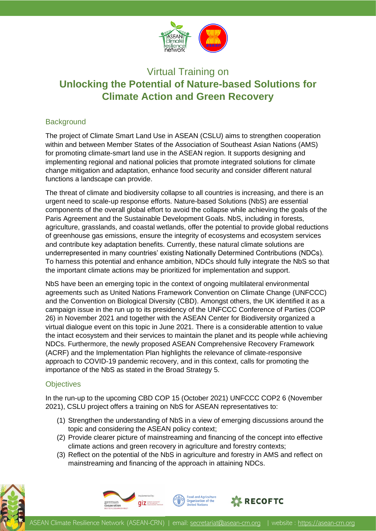

# Virtual Training on **Unlocking the Potential of Nature-based Solutions for Climate Action and Green Recovery**

### **Background**

The project of Climate Smart Land Use in ASEAN (CSLU) aims to strengthen cooperation within and between Member States of the Association of Southeast Asian Nations (AMS) for promoting climate-smart land use in the ASEAN region. It supports designing and implementing regional and national policies that promote integrated solutions for climate change mitigation and adaptation, enhance food security and consider different natural functions a landscape can provide.

The threat of climate and biodiversity collapse to all countries is increasing, and there is an urgent need to scale-up response efforts. Nature-based Solutions (NbS) are essential components of the overall global effort to avoid the collapse while achieving the goals of the Paris Agreement and the Sustainable Development Goals. NbS, including in forests, agriculture, grasslands, and coastal wetlands, offer the potential to provide global reductions of greenhouse gas emissions, ensure the integrity of ecosystems and ecosystem services and contribute key adaptation benefits. Currently, these natural climate solutions are underrepresented in many countries' existing Nationally Determined Contributions (NDCs). To harness this potential and enhance ambition, NDCs should fully integrate the NbS so that the important climate actions may be prioritized for implementation and support.

NbS have been an emerging topic in the context of ongoing multilateral environmental agreements such as United Nations Framework Convention on Climate Change (UNFCCC) and the Convention on Biological Diversity (CBD). Amongst others, the UK identified it as a campaign issue in the run up to its presidency of the UNFCCC Conference of Parties (COP 26) in November 2021 and together with the ASEAN Center for Biodiversity organized a virtual dialogue event on this topic in June 2021. There is a considerable attention to value the intact ecosystem and their services to maintain the planet and its people while achieving NDCs. Furthermore, the newly proposed ASEAN Comprehensive Recovery Framework (ACRF) and the Implementation Plan highlights the relevance of climate-responsive approach to COVID-19 pandemic recovery, and in this context, calls for promoting the importance of the NbS as stated in the Broad Strategy 5.

#### **Objectives**

In the run-up to the upcoming CBD COP 15 (October 2021) UNFCCC COP2 6 (November 2021), CSLU project offers a training on NbS for ASEAN representatives to:

- (1) Strengthen the understanding of NbS in a view of emerging discussions around the topic and considering the ASEAN policy context;
- (2) Provide clearer picture of mainstreaming and financing of the concept into effective climate actions and green recovery in agriculture and forestry contexts;
- (3) Reflect on the potential of the NbS in agriculture and forestry in AMS and reflect on mainstreaming and financing of the approach in attaining NDCs.







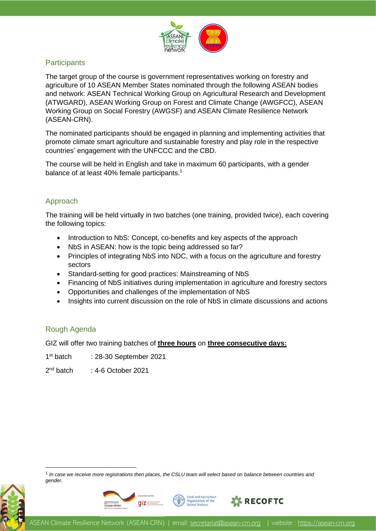

### **Participants**

The target group of the course is government representatives working on forestry and agriculture of 10 ASEAN Member States nominated through the following ASEAN bodies and network: ASEAN Technical Working Group on Agricultural Research and Development (ATWGARD), ASEAN Working Group on Forest and Climate Change (AWGFCC), ASEAN Working Group on Social Forestry (AWGSF) and ASEAN Climate Resilience Network (ASEAN-CRN).

The nominated participants should be engaged in planning and implementing activities that promote climate smart agriculture and sustainable forestry and play role in the respective countries' engagement with the UNFCCC and the CBD.

The course will be held in English and take in maximum 60 participants, with a gender balance of at least 40% female participants.<sup>1</sup>

### Approach

The training will be held virtually in two batches (one training, provided twice), each covering the following topics:

- Introduction to NbS: Concept, co-benefits and key aspects of the approach
- NbS in ASEAN: how is the topic being addressed so far?
- Principles of integrating NbS into NDC, with a focus on the agriculture and forestry sectors
- Standard-setting for good practices: Mainstreaming of NbS
- Financing of NbS initiatives during implementation in agriculture and forestry sectors
- Opportunities and challenges of the implementation of NbS
- Insights into current discussion on the role of NbS in climate discussions and actions

#### Rough Agenda

GIZ will offer two training batches of **three hours** on **three consecutive days:**

- $1<sup>st</sup>$  batch : 28-30 September 2021
- $2<sup>nd</sup> h<sub>atch</sub>$ : 4-6 October 2021

<sup>1</sup> In case we receive more registrations then places, the CSLU team will select based on balance between countries and *gender.*





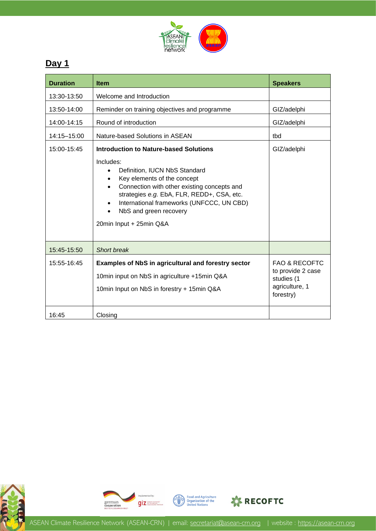

# **Day 1**

| <b>Duration</b> | <b>Item</b>                                                                                                                                                                                                                                                                                                                            | <b>Speakers</b>                                                                            |
|-----------------|----------------------------------------------------------------------------------------------------------------------------------------------------------------------------------------------------------------------------------------------------------------------------------------------------------------------------------------|--------------------------------------------------------------------------------------------|
| 13:30-13:50     | Welcome and Introduction                                                                                                                                                                                                                                                                                                               |                                                                                            |
| 13:50-14:00     | Reminder on training objectives and programme                                                                                                                                                                                                                                                                                          | GIZ/adelphi                                                                                |
| 14:00-14:15     | Round of introduction                                                                                                                                                                                                                                                                                                                  | GIZ/adelphi                                                                                |
| 14:15-15:00     | Nature-based Solutions in ASEAN                                                                                                                                                                                                                                                                                                        | tbd                                                                                        |
| 15:00-15:45     | <b>Introduction to Nature-based Solutions</b><br>Includes:<br>Definition, IUCN NbS Standard<br>Key elements of the concept<br>$\bullet$<br>Connection with other existing concepts and<br>strategies e.g. EbA, FLR, REDD+, CSA, etc.<br>International frameworks (UNFCCC, UN CBD)<br>NbS and green recovery<br>20min Input + 25min Q&A | GIZ/adelphi                                                                                |
| 15:45-15:50     | Short break                                                                                                                                                                                                                                                                                                                            |                                                                                            |
| 15:55-16:45     | <b>Examples of NbS in agricultural and forestry sector</b><br>10min input on NbS in agriculture +15min Q&A<br>10min Input on NbS in forestry + 15min Q&A                                                                                                                                                                               | <b>FAO &amp; RECOFTC</b><br>to provide 2 case<br>studies (1<br>agriculture, 1<br>forestry) |
| 16:45           | Closing                                                                                                                                                                                                                                                                                                                                |                                                                                            |





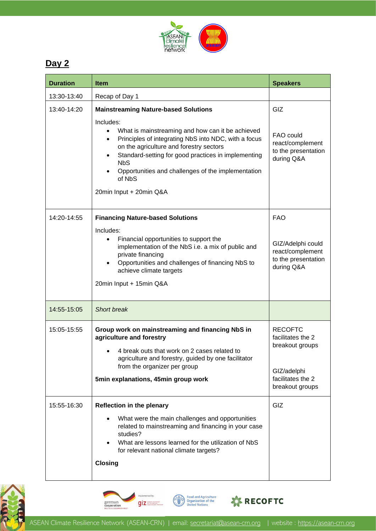

# **Day 2**

| <b>Duration</b> | <b>Item</b>                                                                                                                                                                                                                                                                                                                                                                                               | <b>Speakers</b>                                                                                               |
|-----------------|-----------------------------------------------------------------------------------------------------------------------------------------------------------------------------------------------------------------------------------------------------------------------------------------------------------------------------------------------------------------------------------------------------------|---------------------------------------------------------------------------------------------------------------|
| 13:30-13:40     | Recap of Day 1                                                                                                                                                                                                                                                                                                                                                                                            |                                                                                                               |
| 13:40-14:20     | <b>Mainstreaming Nature-based Solutions</b><br>Includes:<br>What is mainstreaming and how can it be achieved<br>$\bullet$<br>Principles of integrating NbS into NDC, with a focus<br>$\bullet$<br>on the agriculture and forestry sectors<br>Standard-setting for good practices in implementing<br><b>NbS</b><br>Opportunities and challenges of the implementation<br>of NbS<br>20min Input + 20min Q&A | GIZ<br>FAO could<br>react/complement<br>to the presentation<br>during Q&A                                     |
| 14:20-14:55     | <b>Financing Nature-based Solutions</b><br>Includes:<br>Financial opportunities to support the<br>$\bullet$<br>implementation of the NbS i.e. a mix of public and<br>private financing<br>Opportunities and challenges of financing NbS to<br>$\bullet$<br>achieve climate targets<br>20min Input + 15min Q&A                                                                                             | <b>FAO</b><br>GIZ/Adelphi could<br>react/complement<br>to the presentation<br>during Q&A                      |
| 14:55-15:05     | <b>Short break</b>                                                                                                                                                                                                                                                                                                                                                                                        |                                                                                                               |
| 15:05-15:55     | Group work on mainstreaming and financing NbS in<br>agriculture and forestry<br>4 break outs that work on 2 cases related to<br>agriculture and forestry, guided by one facilitator<br>from the organizer per group<br>5min explanations, 45min group work                                                                                                                                                | <b>RECOFTC</b><br>facilitates the 2<br>breakout groups<br>GIZ/adelphi<br>facilitates the 2<br>breakout groups |
| 15:55-16:30     | <b>Reflection in the plenary</b><br>What were the main challenges and opportunities<br>related to mainstreaming and financing in your case<br>studies?<br>What are lessons learned for the utilization of NbS<br>$\bullet$<br>for relevant national climate targets?<br><b>Closing</b>                                                                                                                    | GIZ                                                                                                           |







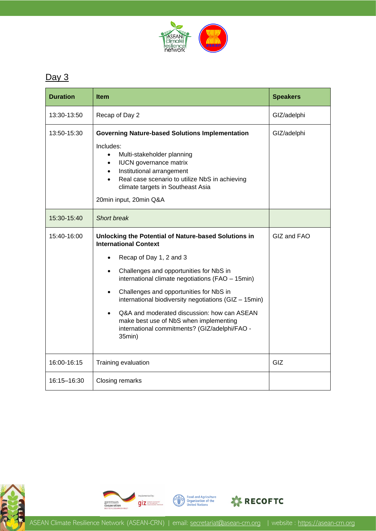

### $Day 3$

| <b>Duration</b> | <b>Item</b>                                                                                                                                                                                                                                                                                                                                                                                                                                                                         | <b>Speakers</b> |
|-----------------|-------------------------------------------------------------------------------------------------------------------------------------------------------------------------------------------------------------------------------------------------------------------------------------------------------------------------------------------------------------------------------------------------------------------------------------------------------------------------------------|-----------------|
| 13:30-13:50     | Recap of Day 2                                                                                                                                                                                                                                                                                                                                                                                                                                                                      | GIZ/adelphi     |
| 13:50-15:30     | <b>Governing Nature-based Solutions Implementation</b><br>Includes:<br>Multi-stakeholder planning<br>$\bullet$<br><b>IUCN</b> governance matrix<br>$\bullet$<br>Institutional arrangement<br>$\bullet$<br>Real case scenario to utilize NbS in achieving<br>$\bullet$<br>climate targets in Southeast Asia<br>20min input, 20min Q&A                                                                                                                                                | GIZ/adelphi     |
| 15:30-15:40     | <b>Short break</b>                                                                                                                                                                                                                                                                                                                                                                                                                                                                  |                 |
| 15:40-16:00     | Unlocking the Potential of Nature-based Solutions in<br><b>International Context</b><br>Recap of Day 1, 2 and 3<br>Challenges and opportunities for NbS in<br>international climate negotiations (FAO - 15min)<br>Challenges and opportunities for NbS in<br>$\bullet$<br>international biodiversity negotiations (GIZ - 15min)<br>Q&A and moderated discussion: how can ASEAN<br>make best use of NbS when implementing<br>international commitments? (GIZ/adelphi/FAO -<br>35min) | GIZ and FAO     |
| 16:00-16:15     | Training evaluation                                                                                                                                                                                                                                                                                                                                                                                                                                                                 | GIZ             |
| 16:15-16:30     | <b>Closing remarks</b>                                                                                                                                                                                                                                                                                                                                                                                                                                                              |                 |